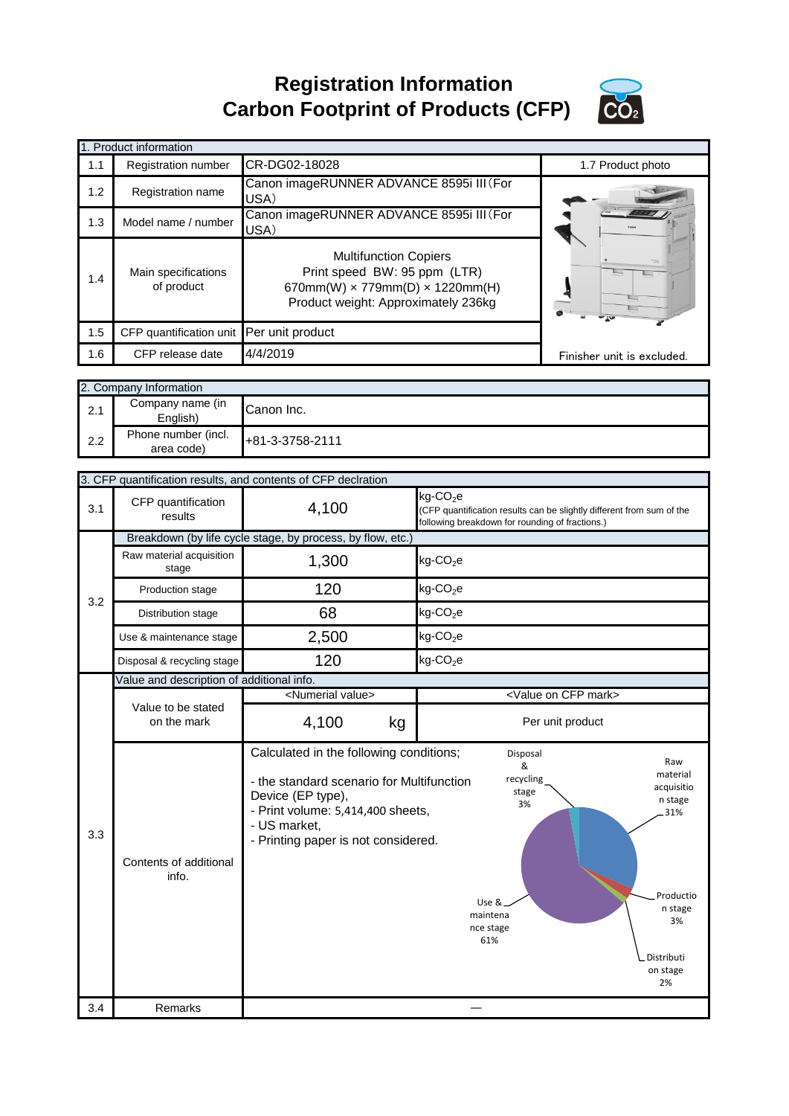**Registration Information Carbon Footprint of Products (CFP)**



|     | 1. Product information            |                                                                                                                                                      |                                                                         |                                                                       |
|-----|-----------------------------------|------------------------------------------------------------------------------------------------------------------------------------------------------|-------------------------------------------------------------------------|-----------------------------------------------------------------------|
| 1.1 | Registration number               | CR-DG02-18028                                                                                                                                        |                                                                         | 1.7 Product photo                                                     |
| 1.2 | Registration name                 | Canon imageRUNNER ADVANCE 8595i III (For<br>USA)                                                                                                     |                                                                         |                                                                       |
| 1.3 | Model name / number               | Canon imageRUNNER ADVANCE 8595i III (For<br>USA)                                                                                                     |                                                                         |                                                                       |
| 1.4 | Main specifications<br>of product | <b>Multifunction Copiers</b><br>Print speed BW: 95 ppm (LTR)<br>670mm(W) $\times$ 779mm(D) $\times$ 1220mm(H)<br>Product weight: Approximately 236kg |                                                                         | $\overline{a}$                                                        |
| 1.5 | CFP quantification unit           | Per unit product                                                                                                                                     |                                                                         |                                                                       |
| 1.6 | CFP release date                  | 4/4/2019                                                                                                                                             |                                                                         | Finisher unit is excluded.                                            |
|     | 2. Company Information            |                                                                                                                                                      |                                                                         |                                                                       |
| 2.1 | Company name (in<br>English)      | Canon Inc.                                                                                                                                           |                                                                         |                                                                       |
| 2.2 | Phone number (incl.<br>area code) | +81-3-3758-2111                                                                                                                                      |                                                                         |                                                                       |
|     |                                   | 3. CFP quantification results, and contents of CFP declration                                                                                        |                                                                         |                                                                       |
| 3.1 | CFP quantification<br>results     | 4,100                                                                                                                                                | kg-CO <sub>2</sub> e<br>following breakdown for rounding of fractions.) | (CFP quantification results can be slightly different from sum of the |

| 3.1 | CFP quantification<br>results             | 4,100                                                                                                                                                                                                 | $kg$ -CO <sub>2</sub> e<br>(CFP quantification results can be slightly different from sum of the<br>following breakdown for rounding of fractions.)                                                  |  |  |
|-----|-------------------------------------------|-------------------------------------------------------------------------------------------------------------------------------------------------------------------------------------------------------|------------------------------------------------------------------------------------------------------------------------------------------------------------------------------------------------------|--|--|
|     |                                           | Breakdown (by life cycle stage, by process, by flow, etc.)                                                                                                                                            |                                                                                                                                                                                                      |  |  |
| 3.2 | Raw material acquisition<br>stage         | 1,300                                                                                                                                                                                                 | $kg$ -CO <sub>2</sub> e                                                                                                                                                                              |  |  |
|     | Production stage                          | 120                                                                                                                                                                                                   | $kg$ -CO <sub>2</sub> e                                                                                                                                                                              |  |  |
|     | Distribution stage                        | 68                                                                                                                                                                                                    | $kg$ -CO <sub>2</sub> e                                                                                                                                                                              |  |  |
|     | Use & maintenance stage                   | 2,500                                                                                                                                                                                                 | $kg$ -CO <sub>2</sub> e                                                                                                                                                                              |  |  |
|     | Disposal & recycling stage                | 120                                                                                                                                                                                                   | $kg$ -CO <sub>2</sub> e                                                                                                                                                                              |  |  |
|     | Value and description of additional info. |                                                                                                                                                                                                       |                                                                                                                                                                                                      |  |  |
|     |                                           | <numerial value=""></numerial>                                                                                                                                                                        | <value cfp="" mark="" on=""></value>                                                                                                                                                                 |  |  |
|     | Value to be stated<br>on the mark         | 4,100<br>kg                                                                                                                                                                                           | Per unit product                                                                                                                                                                                     |  |  |
| 3.3 | Contents of additional<br>info.           | Calculated in the following conditions;<br>- the standard scenario for Multifunction<br>Device (EP type),<br>- Print volume: 5,414,400 sheets,<br>- US market,<br>- Printing paper is not considered. | Disposal<br>Raw<br>&<br>material<br>recycling<br>acquisitio<br>stage<br>n stage<br>3%<br>31%<br>Productio<br>Use &.<br>n stage<br>maintena<br>3%<br>nce stage<br>61%<br>Distributi<br>on stage<br>2% |  |  |
| 3.4 | Remarks                                   |                                                                                                                                                                                                       |                                                                                                                                                                                                      |  |  |